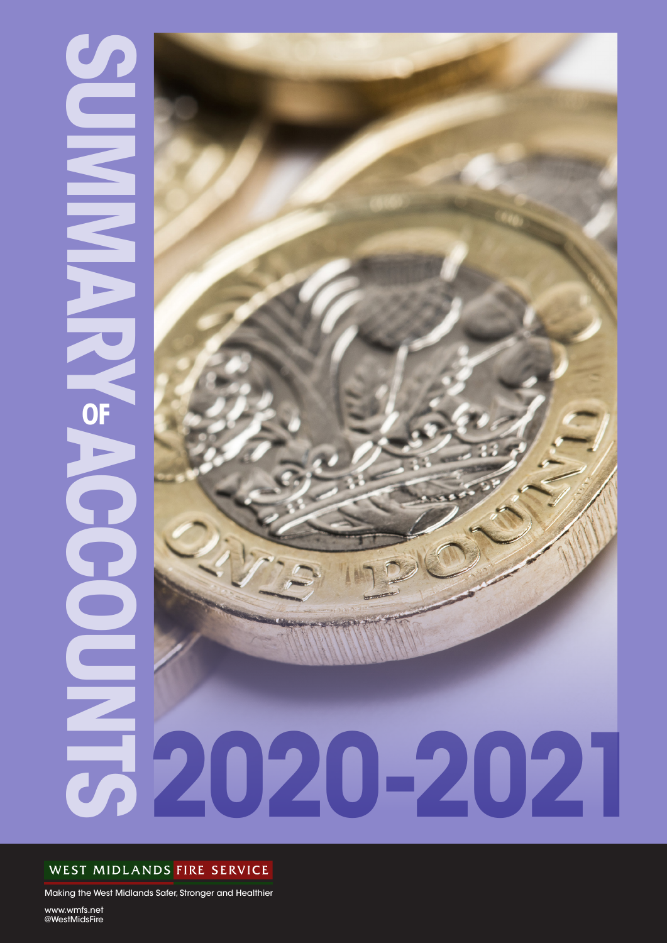# **SUMMARY ACCOUNTS OF 1** OF



## WEST MIDLANDS FIRE SERVICE

Making the West Midlands Safer, Stronger and Healthier

www.wmfs.net @WestMidsFire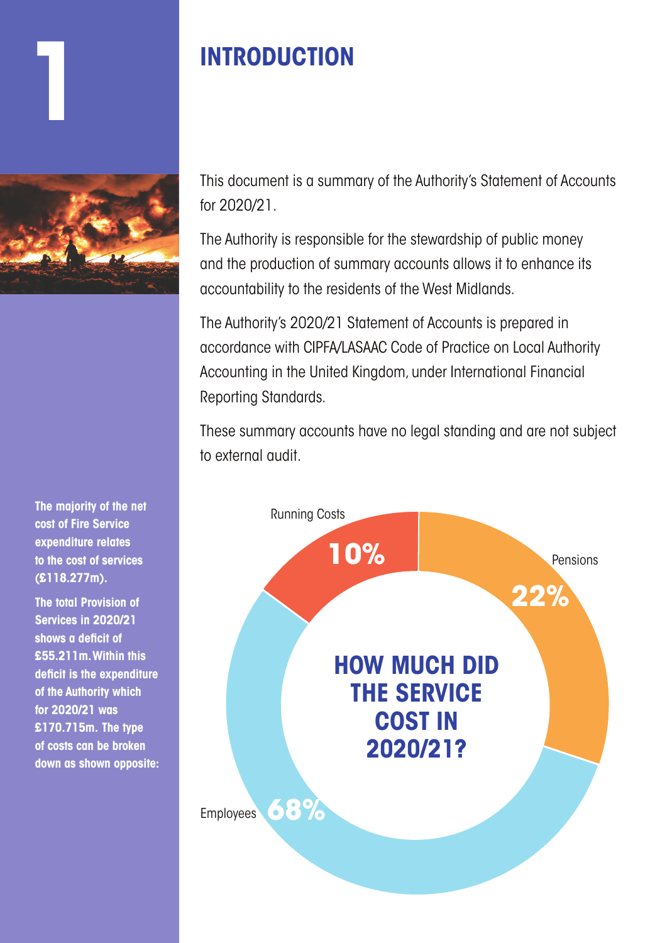# **1 INTRODUCTION**



**The majority of the net cost of Fire Service expenditure relates to the cost of services (£118.277m).**

**The total Provision of Services in 2020/21 shows a deficit of £55.211m. Within this deficit is the expenditure of the Authority which for 2020/21 was £170.715m. The type of costs can be broken down as shown opposite:**

This document is a summary of the Authority's Statement of Accounts for 2020/21.

The Authority is responsible for the stewardship of public money and the production of summary accounts allows it to enhance its accountability to the residents of the West Midlands.

The Authority's 2020/21 Statement of Accounts is prepared in accordance with CIPFA/LASAAC Code of Practice on Local Authority Accounting in the United Kingdom, under International Financial Reporting Standards.

These summary accounts have no legal standing and are not subject to external audit.

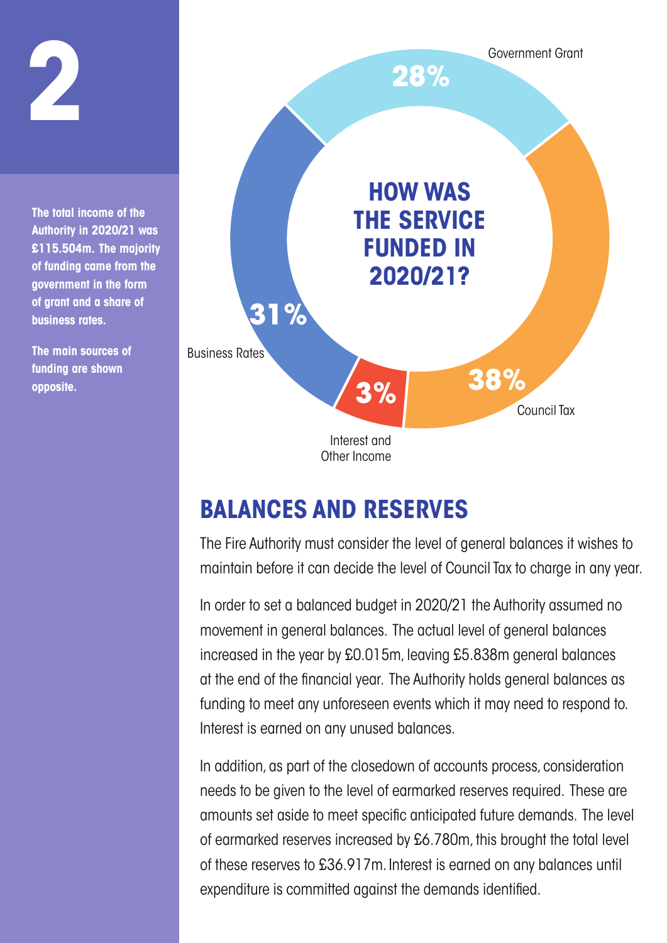

# **BALANCES AND RESERVES**

The Fire Authority must consider the level of general balances it wishes to maintain before it can decide the level of Council Tax to charge in any year.

In order to set a balanced budget in 2020/21 the Authority assumed no movement in general balances. The actual level of general balances increased in the year by £0.015m, leaving £5.838m general balances at the end of the financial year. The Authority holds general balances as funding to meet any unforeseen events which it may need to respond to. Interest is earned on any unused balances.

In addition, as part of the closedown of accounts process, consideration needs to be given to the level of earmarked reserves required. These are amounts set aside to meet specific anticipated future demands. The level of earmarked reserves increased by £6.780m, this brought the total level of these reserves to £36.917m. Interest is earned on any balances until expenditure is committed against the demands identified.